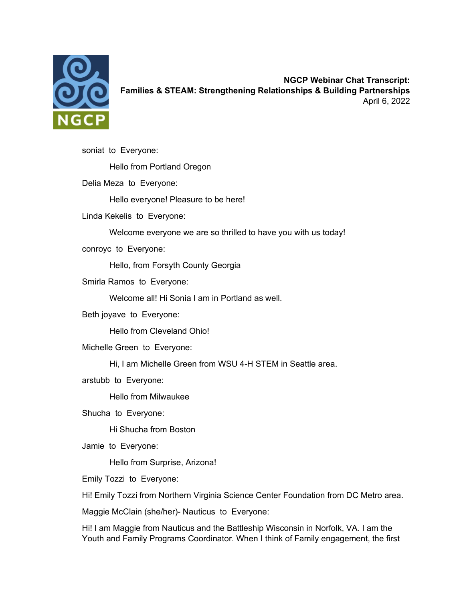

**NGCP Webinar Chat Transcript: Families & STEAM: Strengthening Relationships & Building Partnerships** April 6, 2022

soniat to Everyone: Hello from Portland Oregon Delia Meza to Everyone: Hello everyone! Pleasure to be here! Linda Kekelis to Everyone: Welcome everyone we are so thrilled to have you with us today! conroyc to Everyone: Hello, from Forsyth County Georgia Smirla Ramos to Everyone: Welcome all! Hi Sonia I am in Portland as well. Beth joyave to Everyone: Hello from Cleveland Ohio! Michelle Green to Everyone: Hi, I am Michelle Green from WSU 4-H STEM in Seattle area. arstubb to Everyone: Hello from Milwaukee Shucha to Everyone: Hi Shucha from Boston Jamie to Everyone: Hello from Surprise, Arizona! Emily Tozzi to Everyone: Hi! Emily Tozzi from Northern Virginia Science Center Foundation from DC Metro area. Maggie McClain (she/her)- Nauticus to Everyone: Hi! I am Maggie from Nauticus and the Battleship Wisconsin in Norfolk, VA. I am the

Youth and Family Programs Coordinator. When I think of Family engagement, the first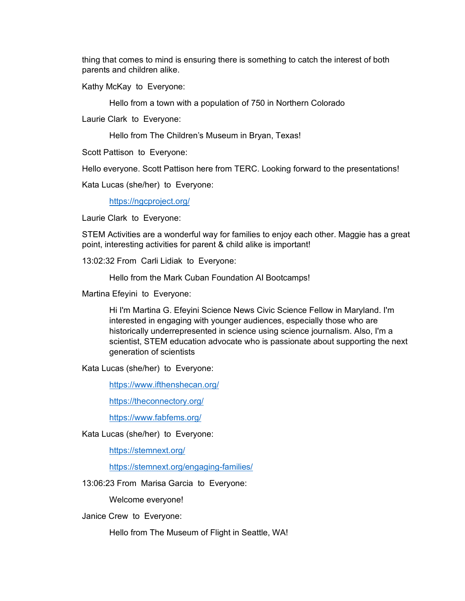thing that comes to mind is ensuring there is something to catch the interest of both parents and children alike.

Kathy McKay to Everyone:

Hello from a town with a population of 750 in Northern Colorado

Laurie Clark to Everyone:

Hello from The Children's Museum in Bryan, Texas!

Scott Pattison to Everyone:

Hello everyone. Scott Pattison here from TERC. Looking forward to the presentations!

Kata Lucas (she/her) to Everyone:

<https://ngcproject.org/>

Laurie Clark to Everyone:

STEM Activities are a wonderful way for families to enjoy each other. Maggie has a great point, interesting activities for parent & child alike is important!

13:02:32 From Carli Lidiak to Everyone:

Hello from the Mark Cuban Foundation AI Bootcamps!

Martina Efeyini to Everyone:

Hi I'm Martina G. Efeyini Science News Civic Science Fellow in Maryland. I'm interested in engaging with younger audiences, especially those who are historically underrepresented in science using science journalism. Also, I'm a scientist, STEM education advocate who is passionate about supporting the next generation of scientists

Kata Lucas (she/her) to Everyone:

<https://www.ifthenshecan.org/>

<https://theconnectory.org/>

<https://www.fabfems.org/>

Kata Lucas (she/her) to Everyone:

<https://stemnext.org/>

<https://stemnext.org/engaging-families/>

13:06:23 From Marisa Garcia to Everyone:

Welcome everyone!

Janice Crew to Everyone:

Hello from The Museum of Flight in Seattle, WA!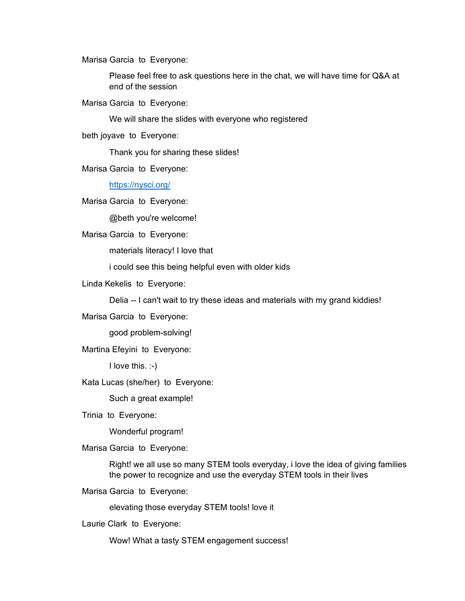Marisa Garcia to Everyone:

Please feel free to ask questions here in the chat, we will have time for Q&A at end of the session

Marisa Garcia to Everyone:

We will share the slides with everyone who registered

beth joyave to Everyone:

Thank you for sharing these slides!

Marisa Garcia to Everyone:

<https://nysci.org/>

Marisa Garcia to Everyone:

@beth you're welcome!

Marisa Garcia to Everyone:

materials literacy! I love that

i could see this being helpful even with older kids

Linda Kekelis to Everyone:

Delia -- I can't wait to try these ideas and materials with my grand kiddies!

Marisa Garcia to Everyone:

good problem-solving!

Martina Efeyini to Everyone:

I love this. :-)

Kata Lucas (she/her) to Everyone:

Such a great example!

Trinia to Everyone:

Wonderful program!

Marisa Garcia to Everyone:

Right! we all use so many STEM tools everyday, i love the idea of giving families the power to recognize and use the everyday STEM tools in their lives

Marisa Garcia to Everyone:

elevating those everyday STEM tools! love it

Laurie Clark to Everyone:

Wow! What a tasty STEM engagement success!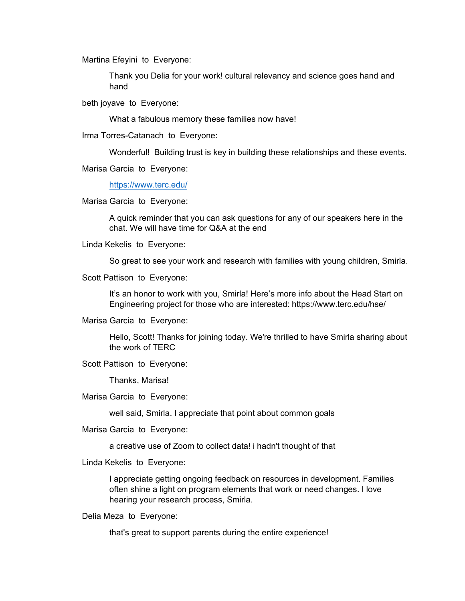Martina Efeyini to Everyone:

Thank you Delia for your work! cultural relevancy and science goes hand and hand

beth joyave to Everyone:

What a fabulous memory these families now have!

Irma Torres-Catanach to Everyone:

Wonderful! Building trust is key in building these relationships and these events.

Marisa Garcia to Everyone:

<https://www.terc.edu/>

Marisa Garcia to Everyone:

A quick reminder that you can ask questions for any of our speakers here in the chat. We will have time for Q&A at the end

Linda Kekelis to Everyone:

So great to see your work and research with families with young children, Smirla.

Scott Pattison to Everyone:

It's an honor to work with you, Smirla! Here's more info about the Head Start on Engineering project for those who are interested: https://www.terc.edu/hse/

Marisa Garcia to Everyone:

Hello, Scott! Thanks for joining today. We're thrilled to have Smirla sharing about the work of TERC

Scott Pattison to Everyone:

Thanks, Marisa!

Marisa Garcia to Everyone:

well said, Smirla. I appreciate that point about common goals

Marisa Garcia to Everyone:

a creative use of Zoom to collect data! i hadn't thought of that

Linda Kekelis to Everyone:

I appreciate getting ongoing feedback on resources in development. Families often shine a light on program elements that work or need changes. I love hearing your research process, Smirla.

Delia Meza to Everyone:

that's great to support parents during the entire experience!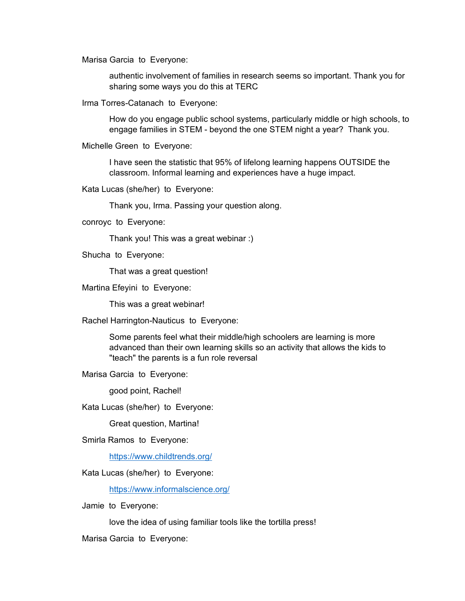Marisa Garcia to Everyone:

authentic involvement of families in research seems so important. Thank you for sharing some ways you do this at TERC

Irma Torres-Catanach to Everyone:

How do you engage public school systems, particularly middle or high schools, to engage families in STEM - beyond the one STEM night a year? Thank you.

Michelle Green to Everyone:

I have seen the statistic that 95% of lifelong learning happens OUTSIDE the classroom. Informal learning and experiences have a huge impact.

Kata Lucas (she/her) to Everyone:

Thank you, Irma. Passing your question along.

conroyc to Everyone:

Thank you! This was a great webinar :)

Shucha to Everyone:

That was a great question!

Martina Efeyini to Everyone:

This was a great webinar!

Rachel Harrington-Nauticus to Everyone:

Some parents feel what their middle/high schoolers are learning is more advanced than their own learning skills so an activity that allows the kids to "teach" the parents is a fun role reversal

Marisa Garcia to Everyone:

good point, Rachel!

Kata Lucas (she/her) to Everyone:

Great question, Martina!

Smirla Ramos to Everyone:

<https://www.childtrends.org/>

Kata Lucas (she/her) to Everyone:

<https://www.informalscience.org/>

Jamie to Everyone:

love the idea of using familiar tools like the tortilla press!

Marisa Garcia to Everyone: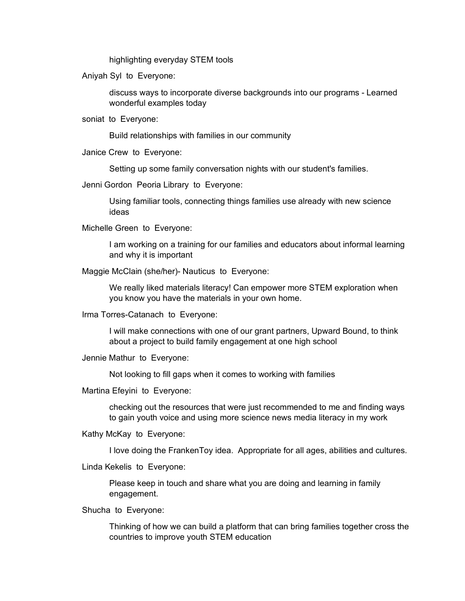highlighting everyday STEM tools

Aniyah Syl to Everyone:

discuss ways to incorporate diverse backgrounds into our programs - Learned wonderful examples today

soniat to Everyone:

Build relationships with families in our community

Janice Crew to Everyone:

Setting up some family conversation nights with our student's families.

Jenni Gordon Peoria Library to Everyone:

Using familiar tools, connecting things families use already with new science ideas

Michelle Green to Everyone:

I am working on a training for our families and educators about informal learning and why it is important

Maggie McClain (she/her)- Nauticus to Everyone:

We really liked materials literacy! Can empower more STEM exploration when you know you have the materials in your own home.

Irma Torres-Catanach to Everyone:

I will make connections with one of our grant partners, Upward Bound, to think about a project to build family engagement at one high school

Jennie Mathur to Everyone:

Not looking to fill gaps when it comes to working with families

Martina Efeyini to Everyone:

checking out the resources that were just recommended to me and finding ways to gain youth voice and using more science news media literacy in my work

Kathy McKay to Everyone:

I love doing the FrankenToy idea. Appropriate for all ages, abilities and cultures.

Linda Kekelis to Everyone:

Please keep in touch and share what you are doing and learning in family engagement.

Shucha to Everyone:

Thinking of how we can build a platform that can bring families together cross the countries to improve youth STEM education